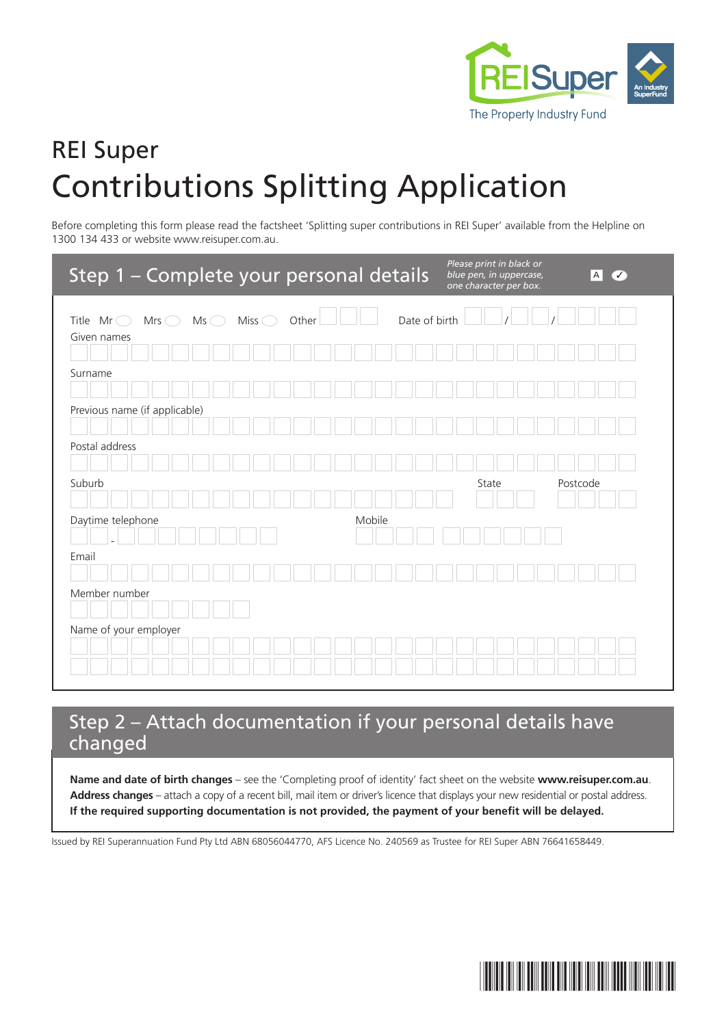

# REI Super Contributions Splitting Application

Before completing this form please read the factsheet 'Splitting super contributions in REI Super' available from the Helpline on 1300 134 433 or website www.reisuper.com.au.

| Step 1 - Complete your personal details                                             |        | Please print in black or<br>blue pen, in uppercase,<br>one character per box. | A <br>$\checkmark$ |
|-------------------------------------------------------------------------------------|--------|-------------------------------------------------------------------------------|--------------------|
| Miss (<br>Title $Mr \bigcirc$<br>$Mrs$ $\bigcirc$<br>$Ms$ $\bigcirc$<br>Given names | Other  | Date of birth                                                                 |                    |
| Surname                                                                             |        |                                                                               |                    |
| Previous name (if applicable)                                                       |        |                                                                               |                    |
| Postal address                                                                      |        |                                                                               |                    |
|                                                                                     |        |                                                                               |                    |
| Suburb                                                                              |        | State                                                                         | Postcode           |
| Daytime telephone<br>Email                                                          | Mobile |                                                                               |                    |
| Member number                                                                       |        |                                                                               |                    |
| Name of your employer                                                               |        |                                                                               |                    |

# Step 2 – Attach documentation if your personal details have changed

**Name and date of birth changes** – see the 'Completing proof of identity' fact sheet on the website **www.reisuper.com.au**. **Address changes** – attach a copy of a recent bill, mail item or driver's licence that displays your new residential or postal address. **If the required supporting documentation is not provided, the payment of your benefit will be delayed.**

Issued by REI Superannuation Fund Pty Ltd ABN 68056044770, AFS Licence No. 240569 as Trustee for REI Super ABN 76641658449.

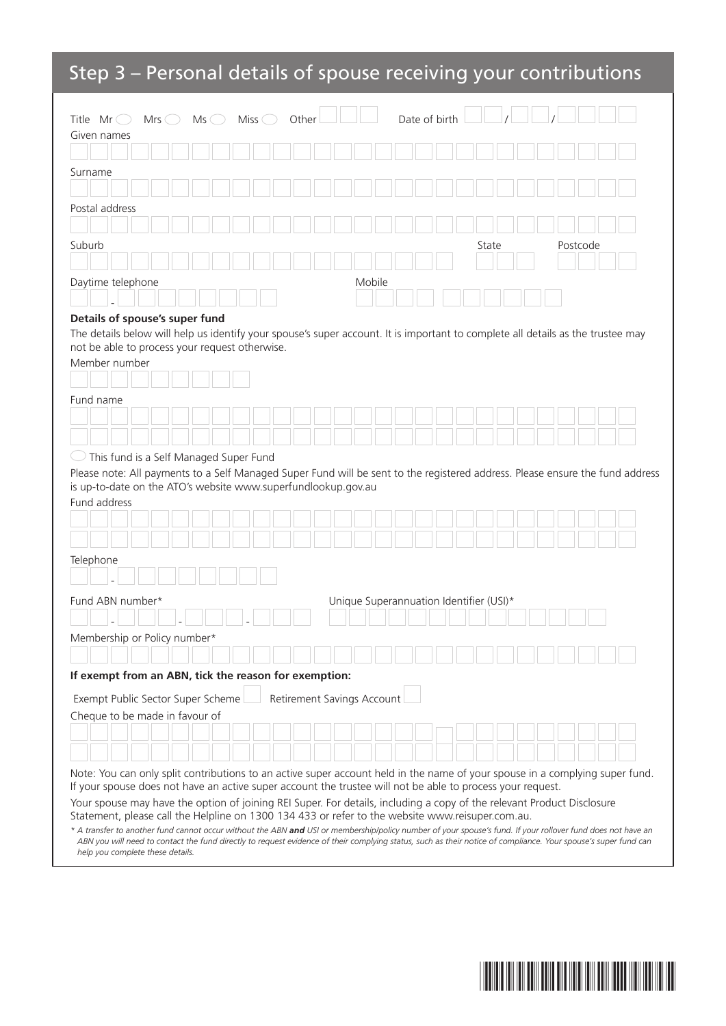# Step 3 – Personal details of spouse receiving your contributions

| Miss $\bigcirc$<br>Date of birth<br>Title $Mr$<br>Other<br>$Mrs \quad \supset$<br>Ms<br>(                                                                                                                                            |  |
|--------------------------------------------------------------------------------------------------------------------------------------------------------------------------------------------------------------------------------------|--|
| Given names                                                                                                                                                                                                                          |  |
|                                                                                                                                                                                                                                      |  |
| Surname                                                                                                                                                                                                                              |  |
|                                                                                                                                                                                                                                      |  |
| Postal address                                                                                                                                                                                                                       |  |
|                                                                                                                                                                                                                                      |  |
| Suburb<br>State<br>Postcode                                                                                                                                                                                                          |  |
|                                                                                                                                                                                                                                      |  |
| Daytime telephone<br>Mobile                                                                                                                                                                                                          |  |
|                                                                                                                                                                                                                                      |  |
| Details of spouse's super fund                                                                                                                                                                                                       |  |
| The details below will help us identify your spouse's super account. It is important to complete all details as the trustee may                                                                                                      |  |
| not be able to process your request otherwise.<br>Member number                                                                                                                                                                      |  |
|                                                                                                                                                                                                                                      |  |
|                                                                                                                                                                                                                                      |  |
| Fund name                                                                                                                                                                                                                            |  |
|                                                                                                                                                                                                                                      |  |
|                                                                                                                                                                                                                                      |  |
| This fund is a Self Managed Super Fund                                                                                                                                                                                               |  |
| Please note: All payments to a Self Managed Super Fund will be sent to the registered address. Please ensure the fund address                                                                                                        |  |
| is up-to-date on the ATO's website www.superfundlookup.gov.au<br>Fund address                                                                                                                                                        |  |
|                                                                                                                                                                                                                                      |  |
|                                                                                                                                                                                                                                      |  |
|                                                                                                                                                                                                                                      |  |
| Telephone                                                                                                                                                                                                                            |  |
|                                                                                                                                                                                                                                      |  |
| Fund ABN number*<br>Unique Superannuation Identifier (USI)*                                                                                                                                                                          |  |
|                                                                                                                                                                                                                                      |  |
| Membership or Policy number*                                                                                                                                                                                                         |  |
|                                                                                                                                                                                                                                      |  |
| If exempt from an ABN, tick the reason for exemption:                                                                                                                                                                                |  |
|                                                                                                                                                                                                                                      |  |
| Retirement Savings Account<br>Exempt Public Sector Super Scheme<br>Cheque to be made in favour of                                                                                                                                    |  |
|                                                                                                                                                                                                                                      |  |
|                                                                                                                                                                                                                                      |  |
|                                                                                                                                                                                                                                      |  |
| Note: You can only split contributions to an active super account held in the name of your spouse in a complying super fund.                                                                                                         |  |
| If your spouse does not have an active super account the trustee will not be able to process your request.<br>Your spouse may have the option of joining REI Super. For details, including a copy of the relevant Product Disclosure |  |
| Statement, please call the Helpline on 1300 134 433 or refer to the website www.reisuper.com.au.                                                                                                                                     |  |
| * A transfer to another fund cannot occur without the ABN and USI or membership/policy number of your spouse's fund. If your rollover fund does not have an                                                                          |  |

*ABN you will need to contact the fund directly to request evidence of their complying status, such as their notice of compliance. Your spouse's super fund can help you complete these details.*

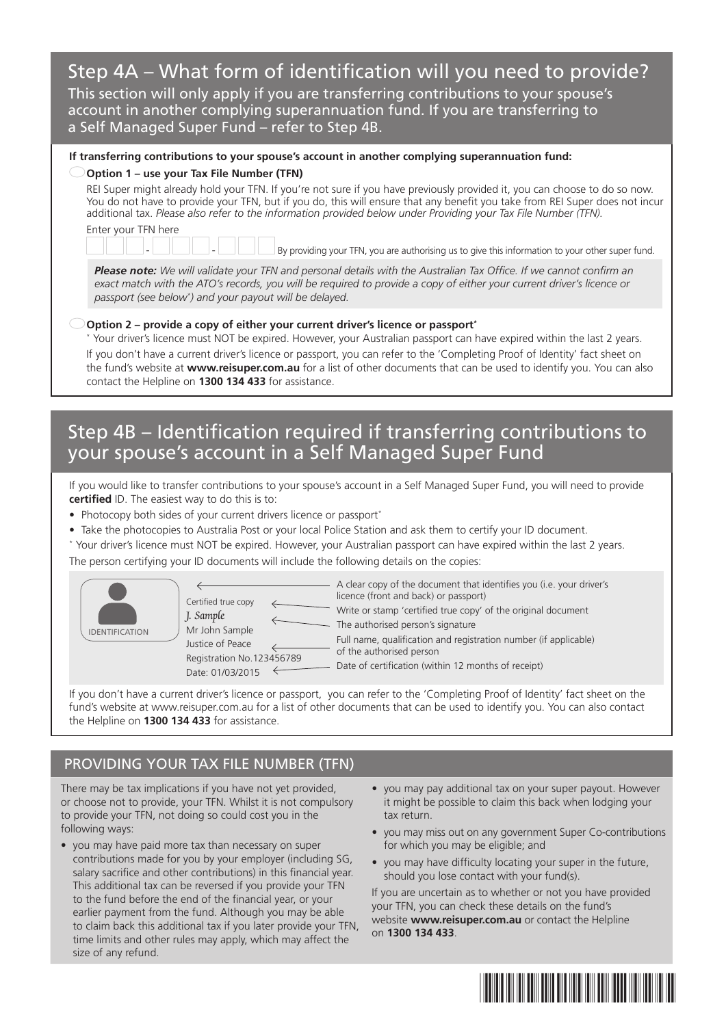# Step 4A – What form of identification will you need to provide?

This section will only apply if you are transferring contributions to your spouse's account in another complying superannuation fund. If you are transferring to a Self Managed Super Fund – refer to Step 4B.

### **If transferring contributions to your spouse's account in another complying superannuation fund:**

#### **Option 1 – use your Tax File Number (TFN)**

REI Super might already hold your TFN. If you're not sure if you have previously provided it, you can choose to do so now. You do not have to provide your TFN, but if you do, this will ensure that any benefit you take from REI Super does not incur additional tax. *Please also refer to the information provided below under Providing your Tax File Number (TFN).* Enter your TFN here

By providing your TFN, you are authorising us to give this information to your other super fund.

*Please note: We will validate your TFN and personal details with the Australian Tax Office. If we cannot confirm an exact match with the ATO's records, you will be required to provide a copy of either your current driver's licence or passport (see below\* ) and your payout will be delayed.*

### **Option 2 – provide a copy of either your current driver's licence or passport\***

\* Your driver's licence must NOT be expired. However, your Australian passport can have expired within the last 2 years. If you don't have a current driver's licence or passport, you can refer to the 'Completing Proof of Identity' fact sheet on the fund's website at **www.reisuper.com.au** for a list of other documents that can be used to identify you. You can also contact the Helpline on **1300 134 433** for assistance.

## Step 4B – Identification required if transferring contributions to your spouse's account in a Self Managed Super Fund

If you would like to transfer contributions to your spouse's account in a Self Managed Super Fund, you will need to provide **certified** ID. The easiest way to do this is to:

- Photocopy both sides of your current drivers licence or passport\*
- Take the photocopies to Australia Post or your local Police Station and ask them to certify your ID document.
- \* Your driver's licence must NOT be expired. However, your Australian passport can have expired within the last 2 years.

The person certifying your ID documents will include the following details on the copies:





A clear copy of the document that identifies you (i.e. your driver's licence (front and back) or passport) Write or stamp 'certified true copy' of the original document - The authorised person's signature Full name, qualification and registration number (if applicable) of the authorised person

- Date of certification (within 12 months of receipt)

If you don't have a current driver's licence or passport, you can refer to the 'Completing Proof of Identity' fact sheet on the fund's website at www.reisuper.com.au for a list of other documents that can be used to identify you. You can also contact the Helpline on **1300 134 433** for assistance.

## PROVIDING YOUR TAX FILE NUMBER (TFN)

There may be tax implications if you have not yet provided, or choose not to provide, your TFN. Whilst it is not compulsory to provide your TFN, not doing so could cost you in the following ways:

- you may have paid more tax than necessary on super contributions made for you by your employer (including SG, salary sacrifice and other contributions) in this financial year. This additional tax can be reversed if you provide your TFN to the fund before the end of the financial year, or your earlier payment from the fund. Although you may be able to claim back this additional tax if you later provide your TFN, time limits and other rules may apply, which may affect the size of any refund.
- you may pay additional tax on your super payout. However it might be possible to claim this back when lodging your tax return.
- you may miss out on any government Super Co-contributions for which you may be eligible; and
- you may have difficulty locating your super in the future, should you lose contact with your fund(s).

If you are uncertain as to whether or not you have provided your TFN, you can check these details on the fund's website **www.reisuper.com.au** or contact the Helpline on **1300 134 433**.

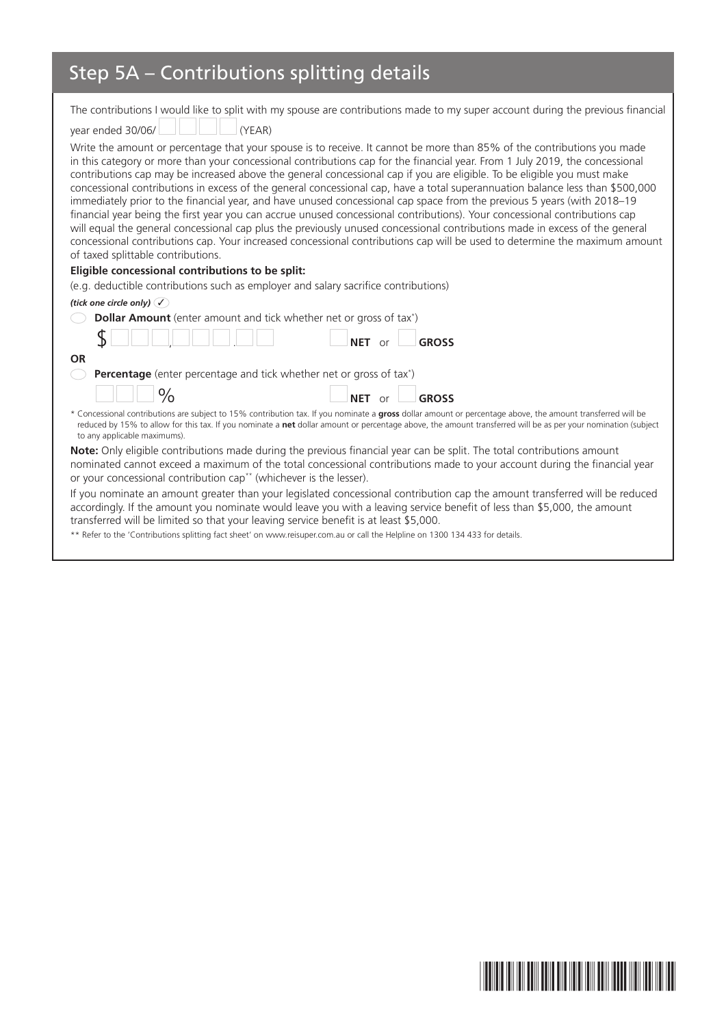# Step 5A – Contributions splitting details

|                                                                                       | The contributions I would like to split with my spouse are contributions made to my super account during the previous financial                                                                                                                                                                                                                                                                                                                                                                                                                                                                                                                                                                                                                                                                                                                                                                                                                                                                                                           |
|---------------------------------------------------------------------------------------|-------------------------------------------------------------------------------------------------------------------------------------------------------------------------------------------------------------------------------------------------------------------------------------------------------------------------------------------------------------------------------------------------------------------------------------------------------------------------------------------------------------------------------------------------------------------------------------------------------------------------------------------------------------------------------------------------------------------------------------------------------------------------------------------------------------------------------------------------------------------------------------------------------------------------------------------------------------------------------------------------------------------------------------------|
| year ended 30/06/<br>(YEAR)                                                           |                                                                                                                                                                                                                                                                                                                                                                                                                                                                                                                                                                                                                                                                                                                                                                                                                                                                                                                                                                                                                                           |
| of taxed splittable contributions.                                                    | Write the amount or percentage that your spouse is to receive. It cannot be more than 85% of the contributions you made<br>in this category or more than your concessional contributions cap for the financial year. From 1 July 2019, the concessional<br>contributions cap may be increased above the general concessional cap if you are eligible. To be eligible you must make<br>concessional contributions in excess of the general concessional cap, have a total superannuation balance less than \$500,000<br>immediately prior to the financial year, and have unused concessional cap space from the previous 5 years (with 2018–19<br>financial year being the first year you can accrue unused concessional contributions). Your concessional contributions cap<br>will equal the general concessional cap plus the previously unused concessional contributions made in excess of the general<br>concessional contributions cap. Your increased concessional contributions cap will be used to determine the maximum amount |
| Eligible concessional contributions to be split:                                      |                                                                                                                                                                                                                                                                                                                                                                                                                                                                                                                                                                                                                                                                                                                                                                                                                                                                                                                                                                                                                                           |
| (e.g. deductible contributions such as employer and salary sacrifice contributions)   |                                                                                                                                                                                                                                                                                                                                                                                                                                                                                                                                                                                                                                                                                                                                                                                                                                                                                                                                                                                                                                           |
| (tick one circle only) $\mathcal{C}$                                                  |                                                                                                                                                                                                                                                                                                                                                                                                                                                                                                                                                                                                                                                                                                                                                                                                                                                                                                                                                                                                                                           |
| Dollar Amount (enter amount and tick whether net or gross of tax*)                    |                                                                                                                                                                                                                                                                                                                                                                                                                                                                                                                                                                                                                                                                                                                                                                                                                                                                                                                                                                                                                                           |
|                                                                                       | <b>GROSS</b><br><b>NET</b><br>$\Omega$ r                                                                                                                                                                                                                                                                                                                                                                                                                                                                                                                                                                                                                                                                                                                                                                                                                                                                                                                                                                                                  |
| <b>OR</b>                                                                             |                                                                                                                                                                                                                                                                                                                                                                                                                                                                                                                                                                                                                                                                                                                                                                                                                                                                                                                                                                                                                                           |
| Percentage (enter percentage and tick whether net or gross of tax*)                   |                                                                                                                                                                                                                                                                                                                                                                                                                                                                                                                                                                                                                                                                                                                                                                                                                                                                                                                                                                                                                                           |
| $\frac{0}{0}$                                                                         | <b>GROSS</b><br>NET or                                                                                                                                                                                                                                                                                                                                                                                                                                                                                                                                                                                                                                                                                                                                                                                                                                                                                                                                                                                                                    |
| to any applicable maximums).                                                          | * Concessional contributions are subject to 15% contribution tax. If you nominate a gross dollar amount or percentage above, the amount transferred will be<br>reduced by 15% to allow for this tax. If you nominate a net dollar amount or percentage above, the amount transferred will be as per your nomination (subject                                                                                                                                                                                                                                                                                                                                                                                                                                                                                                                                                                                                                                                                                                              |
|                                                                                       | Note: Only eligible contributions made during the previous financial year can be split. The total contributions amount                                                                                                                                                                                                                                                                                                                                                                                                                                                                                                                                                                                                                                                                                                                                                                                                                                                                                                                    |
| or your concessional contribution cap <sup>**</sup> (whichever is the lesser).        | nominated cannot exceed a maximum of the total concessional contributions made to your account during the financial year                                                                                                                                                                                                                                                                                                                                                                                                                                                                                                                                                                                                                                                                                                                                                                                                                                                                                                                  |
| transferred will be limited so that your leaving service benefit is at least \$5,000. | If you nominate an amount greater than your legislated concessional contribution cap the amount transferred will be reduced<br>accordingly. If the amount you nominate would leave you with a leaving service benefit of less than \$5,000, the amount                                                                                                                                                                                                                                                                                                                                                                                                                                                                                                                                                                                                                                                                                                                                                                                    |
|                                                                                       |                                                                                                                                                                                                                                                                                                                                                                                                                                                                                                                                                                                                                                                                                                                                                                                                                                                                                                                                                                                                                                           |

\*\* Refer to the 'Contributions splitting fact sheet' on www.reisuper.com.au or call the Helpline on 1300 134 433 for details.

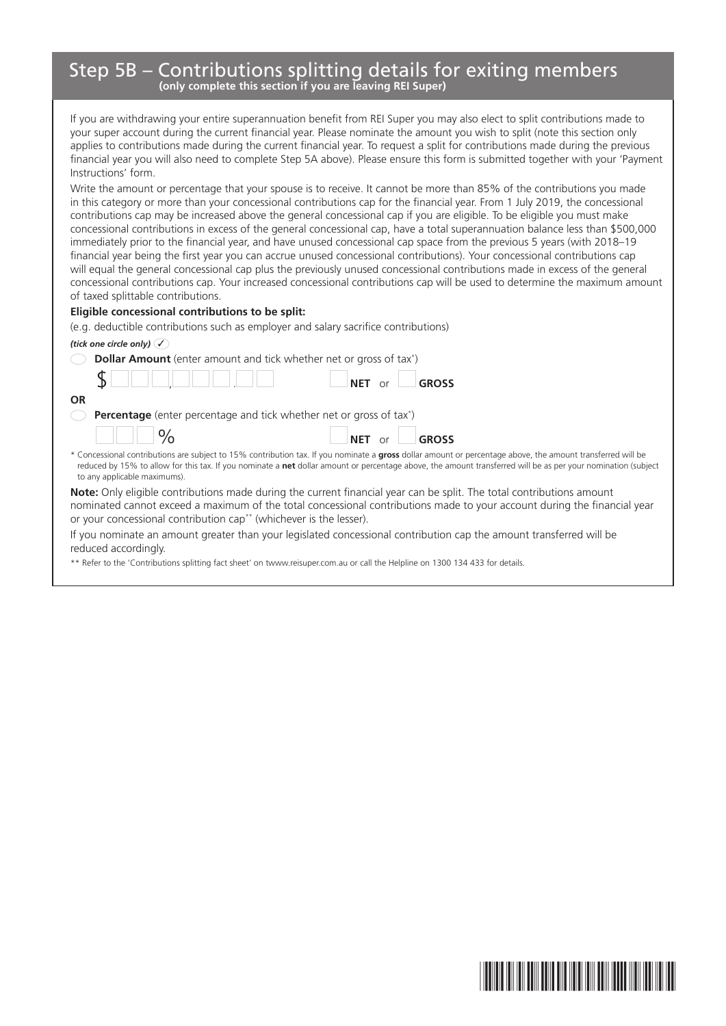## Step 5B – Contributions splitting details for exiting members **(only complete this section if you are leaving REI Super)**

If you are withdrawing your entire superannuation benefit from REI Super you may also elect to split contributions made to your super account during the current financial year. Please nominate the amount you wish to split (note this section only applies to contributions made during the current financial year. To request a split for contributions made during the previous financial year you will also need to complete Step 5A above). Please ensure this form is submitted together with your 'Payment Instructions' form.

Write the amount or percentage that your spouse is to receive. It cannot be more than 85% of the contributions you made in this category or more than your concessional contributions cap for the financial year. From 1 July 2019, the concessional contributions cap may be increased above the general concessional cap if you are eligible. To be eligible you must make concessional contributions in excess of the general concessional cap, have a total superannuation balance less than \$500,000 immediately prior to the financial year, and have unused concessional cap space from the previous 5 years (with 2018–19 financial year being the first year you can accrue unused concessional contributions). Your concessional contributions cap will equal the general concessional cap plus the previously unused concessional contributions made in excess of the general concessional contributions cap. Your increased concessional contributions cap will be used to determine the maximum amount of taxed splittable contributions.

#### **Eligible concessional contributions to be split:**

(e.g. deductible contributions such as employer and salary sacrifice contributions)

### *(tick one circle only)* ✓

| <b>Dollar Amount</b> (enter amount and tick whether net or gross of tax <sup>*</sup> )                                                                                                                                                                                                                                                                       |
|--------------------------------------------------------------------------------------------------------------------------------------------------------------------------------------------------------------------------------------------------------------------------------------------------------------------------------------------------------------|
| <b>GROSS</b>                                                                                                                                                                                                                                                                                                                                                 |
| <b>OR</b>                                                                                                                                                                                                                                                                                                                                                    |
| <b>Percentage</b> (enter percentage and tick whether net or gross of tax <sup>*</sup> )                                                                                                                                                                                                                                                                      |
| $\vert \vert \vert \circ \rangle$<br>NET or <b>GROSS</b>                                                                                                                                                                                                                                                                                                     |
| * Concessional contributions are subject to 15% contribution tax. If you nominate a gross dollar amount or percentage above, the amount transferred will be<br>reduced by 15% to allow for this tax. If you nominate a net dollar amount or percentage above, the amount transferred will be as per your nomination (subject<br>to any applicable maximums). |
| <b>Note:</b> Only eligible contributions made during the current financial year can be split. The total contributions amount<br>nominated cannot exceed a maximum of the total concessional contributions made to your account during the financial year<br>or your concessional contribution cap <sup>**</sup> (whichever is the lesser).                   |
| If you nominate an amount greater than your legislated concessional contribution cap the amount transferred will be                                                                                                                                                                                                                                          |

the amount transferred will be reduced accordingly.

\*\* Refer to the 'Contributions splitting fact sheet' on twww.reisuper.com.au or call the Helpline on 1300 134 433 for details.

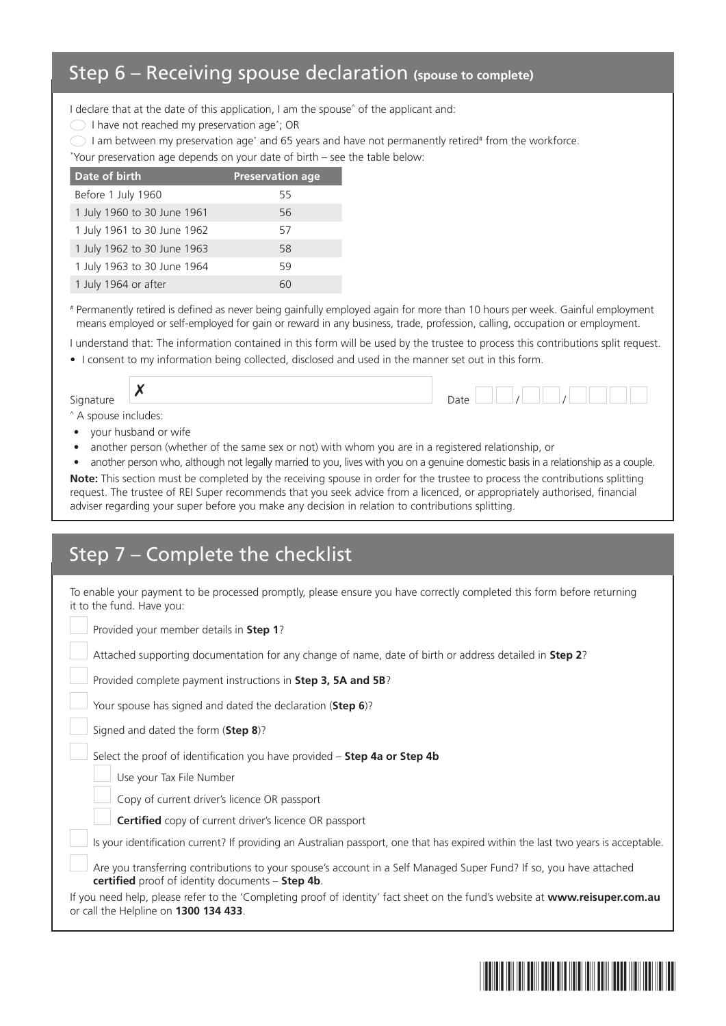## Step 6 – Receiving spouse declaration **(spouse to complete)**

I declare that at the date of this application, I am the spouse<sup>^</sup> of the applicant and:

I have not reached my preservation age\* ; OR

I am between my preservation age<sup>\*</sup> and 65 years and have not permanently retired<sup>#</sup> from the workforce.

\* Your preservation age depends on your date of birth – see the table below:

| Date of birth               | <b>Preservation age</b> |
|-----------------------------|-------------------------|
| Before 1 July 1960          | 55                      |
| 1 July 1960 to 30 June 1961 | 56                      |
| 1 July 1961 to 30 June 1962 | 57                      |
| 1 July 1962 to 30 June 1963 | 58                      |
| 1 July 1963 to 30 June 1964 | 59                      |
| 1 July 1964 or after        |                         |

# Permanently retired is defined as never being gainfully employed again for more than 10 hours per week. Gainful employment means employed or self-employed for gain or reward in any business, trade, profession, calling, occupation or employment.

I understand that: The information contained in this form will be used by the trustee to process this contributions split request.

• I consent to my information being collected, disclosed and used in the manner set out in this form.

Signature  $\vert x \vert$  Date  $\vert x \vert$ 

^ A spouse includes:

- your husband or wife
- another person (whether of the same sex or not) with whom you are in a registered relationship, or
- another person who, although not legally married to you, lives with you on a genuine domestic basis in a relationship as a couple.

**Note:** This section must be completed by the receiving spouse in order for the trustee to process the contributions splitting request. The trustee of REI Super recommends that you seek advice from a licenced, or appropriately authorised, financial adviser regarding your super before you make any decision in relation to contributions splitting.

| Step 7 - Complete the checklist                                                                                                                                        |
|------------------------------------------------------------------------------------------------------------------------------------------------------------------------|
| To enable your payment to be processed promptly, please ensure you have correctly completed this form before returning<br>it to the fund. Have you:                    |
| Provided your member details in Step 1?                                                                                                                                |
| Attached supporting documentation for any change of name, date of birth or address detailed in <b>Step 2</b> ?                                                         |
| Provided complete payment instructions in Step 3, 5A and 5B?                                                                                                           |
| Your spouse has signed and dated the declaration (Step 6)?                                                                                                             |
| Signed and dated the form (Step 8)?                                                                                                                                    |
| Select the proof of identification you have provided - Step 4a or Step 4b                                                                                              |
| Use your Tax File Number                                                                                                                                               |
| Copy of current driver's licence OR passport                                                                                                                           |
| Certified copy of current driver's licence OR passport                                                                                                                 |
| Is your identification current? If providing an Australian passport, one that has expired within the last two years is acceptable.                                     |
| Are you transferring contributions to your spouse's account in a Self Managed Super Fund? If so, you have attached<br>certified proof of identity documents - Step 4b. |
| If you need help, please refer to the 'Completing proof of identity' fact sheet on the fund's website at www.reisuper.com.au<br>or call the Helpline on 1300 134 433.  |